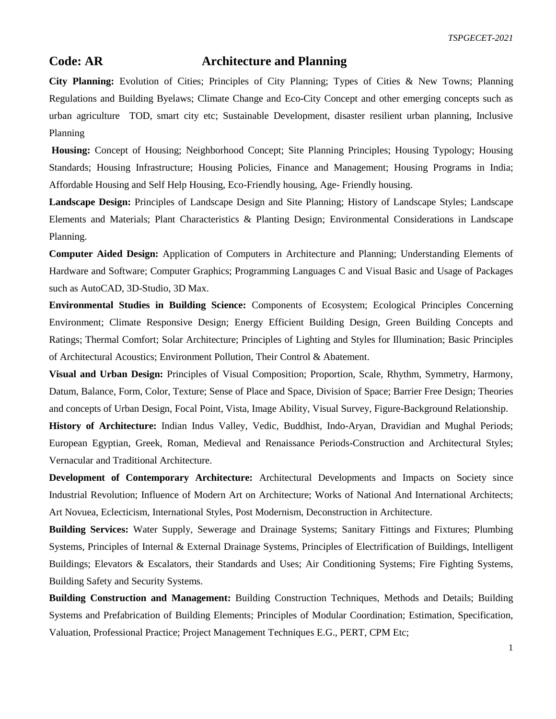## **Code: AR Architecture and Planning**

**City Planning:** Evolution of Cities; Principles of City Planning; Types of Cities & New Towns; Planning Regulations and Building Byelaws; Climate Change and Eco-City Concept and other emerging concepts such as urban agriculture TOD, smart city etc; Sustainable Development, disaster resilient urban planning, Inclusive Planning

**Housing:** Concept of Housing; Neighborhood Concept; Site Planning Principles; Housing Typology; Housing Standards; Housing Infrastructure; Housing Policies, Finance and Management; Housing Programs in India; Affordable Housing and Self Help Housing, Eco-Friendly housing, Age- Friendly housing.

**Landscape Design:** Principles of Landscape Design and Site Planning; History of Landscape Styles; Landscape Elements and Materials; Plant Characteristics & Planting Design; Environmental Considerations in Landscape Planning.

**Computer Aided Design:** Application of Computers in Architecture and Planning; Understanding Elements of Hardware and Software; Computer Graphics; Programming Languages C and Visual Basic and Usage of Packages such as AutoCAD, 3D-Studio, 3D Max.

**Environmental Studies in Building Science:** Components of Ecosystem; Ecological Principles Concerning Environment; Climate Responsive Design; Energy Efficient Building Design, Green Building Concepts and Ratings; Thermal Comfort; Solar Architecture; Principles of Lighting and Styles for Illumination; Basic Principles of Architectural Acoustics; Environment Pollution, Their Control & Abatement.

**Visual and Urban Design:** Principles of Visual Composition; Proportion, Scale, Rhythm, Symmetry, Harmony, Datum, Balance, Form, Color, Texture; Sense of Place and Space, Division of Space; Barrier Free Design; Theories and concepts of Urban Design, Focal Point, Vista, Image Ability, Visual Survey, Figure-Background Relationship.

**History of Architecture:** Indian Indus Valley, Vedic, Buddhist, Indo-Aryan, Dravidian and Mughal Periods; European Egyptian, Greek, Roman, Medieval and Renaissance Periods-Construction and Architectural Styles; Vernacular and Traditional Architecture.

**Development of Contemporary Architecture:** Architectural Developments and Impacts on Society since Industrial Revolution; Influence of Modern Art on Architecture; Works of National And International Architects; Art Novuea, Eclecticism, International Styles, Post Modernism, Deconstruction in Architecture.

**Building Services:** Water Supply, Sewerage and Drainage Systems; Sanitary Fittings and Fixtures; Plumbing Systems, Principles of Internal & External Drainage Systems, Principles of Electrification of Buildings, Intelligent Buildings; Elevators & Escalators, their Standards and Uses; Air Conditioning Systems; Fire Fighting Systems, Building Safety and Security Systems.

**Building Construction and Management:** Building Construction Techniques, Methods and Details; Building Systems and Prefabrication of Building Elements; Principles of Modular Coordination; Estimation, Specification, Valuation, Professional Practice; Project Management Techniques E.G., PERT, CPM Etc;